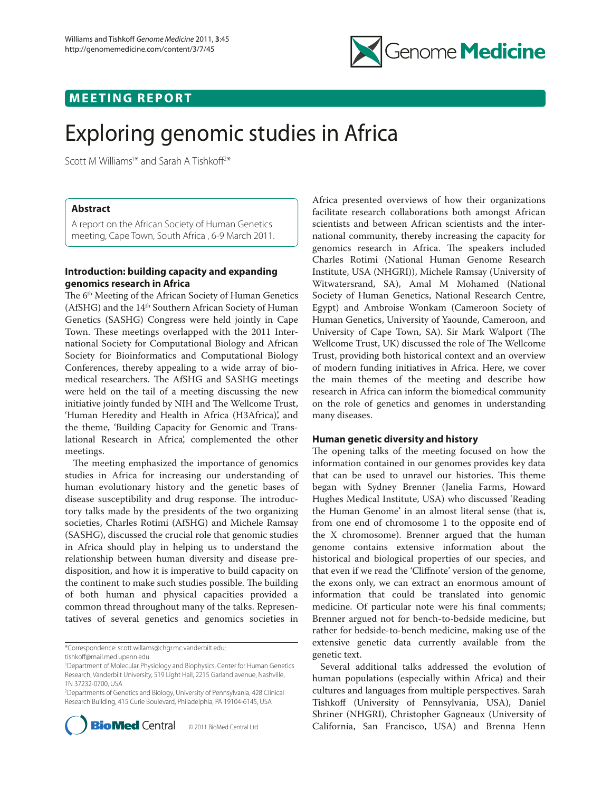

## **MEETING REPORT**

# Exploring genomic studies in Africa

Scott M Williams<sup>1\*</sup> and Sarah A Tishkoff<sup>2\*</sup>

#### **Abstract**

A report on the African Society of Human Genetics meeting, Cape Town, South Africa , 6-9 March 2011.

#### **Introduction: building capacity and expanding genomics research in Africa**

The 6<sup>th</sup> Meeting of the African Society of Human Genetics (AfSHG) and the 14<sup>th</sup> Southern African Society of Human Genetics (SASHG) Congress were held jointly in Cape Town. These meetings overlapped with the 2011 International Society for Computational Biology and African Society for Bioinformatics and Computational Biology Conferences, thereby appealing to a wide array of biomedical researchers. The AfSHG and SASHG meetings were held on the tail of a meeting discussing the new initiative jointly funded by NIH and The Wellcome Trust, 'Human Heredity and Health in Africa (H3Africa)', and the theme, 'Building Capacity for Genomic and Translational Research in Africa', complemented the other meetings.

The meeting emphasized the importance of genomics studies in Africa for increasing our understanding of human evolutionary history and the genetic bases of disease susceptibility and drug response. The introductory talks made by the presidents of the two organizing societies, Charles Rotimi (AfSHG) and Michele Ramsay (SASHG), discussed the crucial role that genomic studies in Africa should play in helping us to understand the relationship between human diversity and disease predisposition, and how it is imperative to build capacity on the continent to make such studies possible. The building of both human and physical capacities provided a common thread throughout many of the talks. Representatives of several genetics and genomics societies in

\*Correspondence: scott.willams@chgr.mc.vanderbilt.edu;

2 Departments of Genetics and Biology, University of Pennsylvania, 428 Clinical Research Building, 415 Curie Boulevard, Philadelphia, PA 19104-6145, USA



Africa presented overviews of how their organizations facilitate research collaborations both amongst African scientists and between African scientists and the international community, thereby increasing the capacity for genomics research in Africa. The speakers included Charles Rotimi (National Human Genome Research Institute, USA (NHGRI)), Michele Ramsay (University of Witwatersrand, SA), Amal M Mohamed (National Society of Human Genetics, National Research Centre, Egypt) and Ambroise Wonkam (Cameroon Society of Human Genetics, University of Yaounde, Cameroon, and University of Cape Town, SA). Sir Mark Walport (The Wellcome Trust, UK) discussed the role of The Wellcome Trust, providing both historical context and an overview of modern funding initiatives in Africa. Here, we cover the main themes of the meeting and describe how research in Africa can inform the biomedical community on the role of genetics and genomes in understanding many diseases.

#### **Human genetic diversity and history**

The opening talks of the meeting focused on how the information contained in our genomes provides key data that can be used to unravel our histories. This theme began with Sydney Brenner (Janelia Farms, Howard Hughes Medical Institute, USA) who discussed 'Reading the Human Genome' in an almost literal sense (that is, from one end of chromosome 1 to the opposite end of the X chromosome). Brenner argued that the human genome contains extensive information about the historical and biological properties of our species, and that even if we read the 'Cliffnote' version of the genome, the exons only, we can extract an enormous amount of information that could be translated into genomic medicine. Of particular note were his final comments; Brenner argued not for bench-to-bedside medicine, but rather for bedside-to-bench medicine, making use of the extensive genetic data currently available from the genetic text.

Several additional talks addressed the evolution of human populations (especially within Africa) and their cultures and languages from multiple perspectives. Sarah Tishkoff (University of Pennsylvania, USA), Daniel Shriner (NHGRI), Christopher Gagneaux (University of California, San Francisco, USA) and Brenna Henn

tishkoff@mail.med.upenn.edu

<sup>1</sup> Department of Molecular Physiology and Biophysics, Center for Human Genetics Research, Vanderbilt University, 519 Light Hall, 2215 Garland avenue, Nashville, TN 37232-0700, USA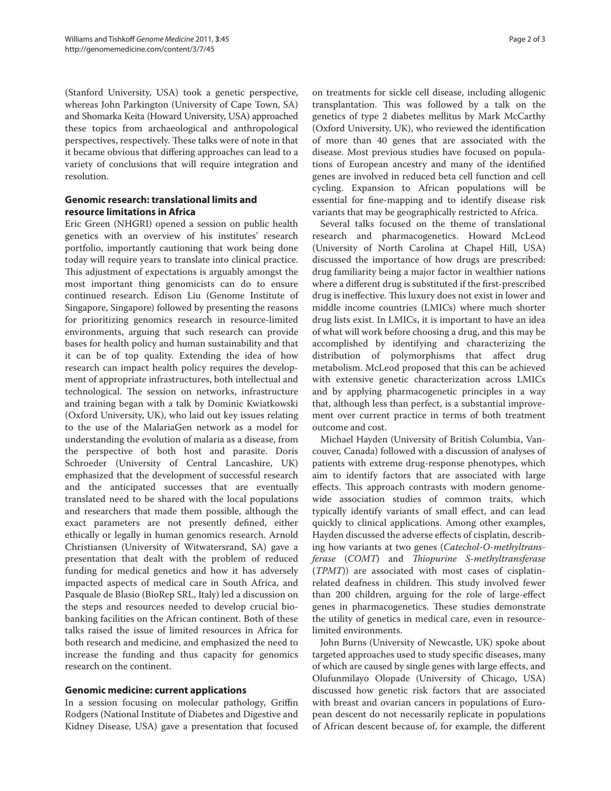(Stanford University, USA) took a genetic perspective, whereas John Parkington (University of Cape Town, SA) and Shomarka Keita (Howard University, USA) approached these topics from archaeological and anthropological perspectives, respectively. These talks were of note in that it became obvious that differing approaches can lead to a variety of conclusions that will require integration and resolution.

## **Genomic research: translational limits and resource limitations in Africa**

Eric Green (NHGRI) opened a session on public health genetics with an overview of his institutes' research portfolio, importantly cautioning that work being done today will require years to translate into clinical practice. This adjustment of expectations is arguably amongst the most important thing genomicists can do to ensure continued research. Edison Liu (Genome Institute of Singapore, Singapore) followed by presenting the reasons for prioritizing genomics research in resource-limited environments, arguing that such research can provide bases for health policy and human sustainability and that it can be of top quality. Extending the idea of how research can impact health policy requires the development of appropriate infrastructures, both intellectual and technological. The session on networks, infrastructure and training began with a talk by Dominic Kwiatkowski (Oxford University, UK), who laid out key issues relating to the use of the MalariaGen network as a model for understanding the evolution of malaria as a disease, from the perspective of both host and parasite. Doris Schroeder (University of Central Lancashire, UK) emphasized that the development of successful research and the anticipated successes that are eventually translated need to be shared with the local populations and researchers that made them possible, although the exact parameters are not presently defined, either ethically or legally in human genomics research. Arnold Christiansen (University of Witwatersrand, SA) gave a presentation that dealt with the problem of reduced funding for medical genetics and how it has adversely impacted aspects of medical care in South Africa, and Pasquale de Blasio (BioRep SRL, Italy) led a discussion on the steps and resources needed to develop crucial biobanking facilities on the African continent. Both of these talks raised the issue of limited resources in Africa for both research and medicine, and emphasized the need to increase the funding and thus capacity for genomics research on the continent.

### **Genomic medicine: current applications**

In a session focusing on molecular pathology, Griffin Rodgers (National Institute of Diabetes and Digestive and Kidney Disease, USA) gave a presentation that focused on treatments for sickle cell disease, including allogenic transplantation. This was followed by a talk on the genetics of type 2 diabetes mellitus by Mark McCarthy (Oxford University, UK), who reviewed the identification of more than 40 genes that are associated with the disease. Most previous studies have focused on populations of European ancestry and many of the identified genes are involved in reduced beta cell function and cell cycling. Expansion to African populations will be essential for fine-mapping and to identify disease risk variants that may be geographically restricted to Africa.

Several talks focused on the theme of translational research and pharmacogenetics. Howard McLeod (University of North Carolina at Chapel Hill, USA) discussed the importance of how drugs are prescribed: drug familiarity being a major factor in wealthier nations where a different drug is substituted if the first-prescribed drug is ineffective. This luxury does not exist in lower and middle income countries (LMICs) where much shorter drug lists exist. In LMICs, it is important to have an idea of what will work before choosing a drug, and this may be accomplished by identifying and characterizing the distribution of polymorphisms that affect drug metabolism. McLeod proposed that this can be achieved with extensive genetic characterization across LMICs and by applying pharmacogenetic principles in a way that, although less than perfect, is a substantial improvement over current practice in terms of both treatment outcome and cost.

Michael Hayden (University of British Columbia, Vancouver, Canada) followed with a discussion of analyses of patients with extreme drug-response phenotypes, which aim to identify factors that are associated with large effects. This approach contrasts with modern genomewide association studies of common traits, which typically identify variants of small effect, and can lead quickly to clinical applications. Among other examples, Hayden discussed the adverse effects of cisplatin, describing how variants at two genes (*Catechol-O-methyltransferase* (*COMT*) and *Thiopurine S-methyltransferase*  (*TPMT*)) are associated with most cases of cisplatinrelated deafness in children. This study involved fewer than 200 children, arguing for the role of large-effect genes in pharmacogenetics. These studies demonstrate the utility of genetics in medical care, even in resourcelimited environments.

John Burns (University of Newcastle, UK) spoke about targeted approaches used to study specific diseases, many of which are caused by single genes with large effects, and Olufunmilayo Olopade (University of Chicago, USA) discussed how genetic risk factors that are associated with breast and ovarian cancers in populations of European descent do not necessarily replicate in populations of African descent because of, for example, the different